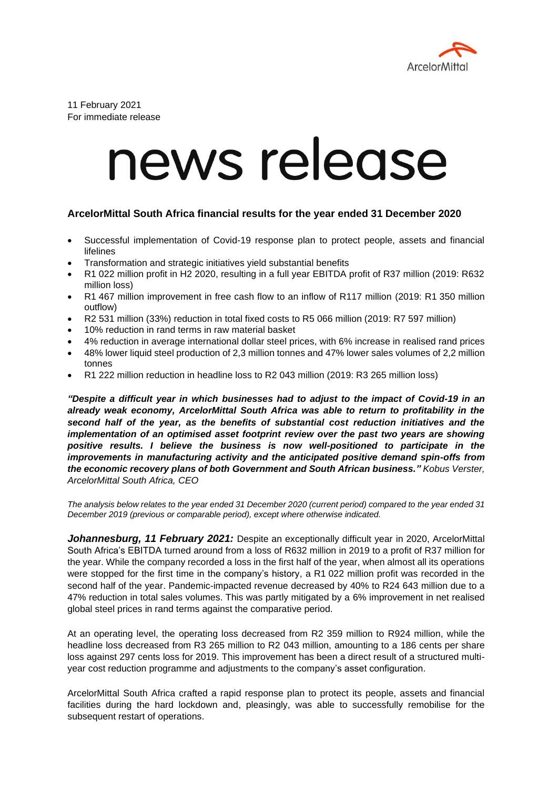

11 February 2021 For immediate release

## news release

## **ArcelorMittal South Africa financial results for the year ended 31 December 2020**

- Successful implementation of Covid-19 response plan to protect people, assets and financial lifelines
- Transformation and strategic initiatives yield substantial benefits
- R1 022 million profit in H2 2020, resulting in a full year EBITDA profit of R37 million (2019: R632 million loss)
- R1 467 million improvement in free cash flow to an inflow of R117 million (2019: R1 350 million outflow)
- R2 531 million (33%) reduction in total fixed costs to R5 066 million (2019: R7 597 million)
- 10% reduction in rand terms in raw material basket
- 4% reduction in average international dollar steel prices, with 6% increase in realised rand prices
- 48% lower liquid steel production of 2,3 million tonnes and 47% lower sales volumes of 2,2 million tonnes
- R1 222 million reduction in headline loss to R2 043 million (2019: R3 265 million loss)

*"Despite a difficult year in which businesses had to adjust to the impact of Covid-19 in an already weak economy, ArcelorMittal South Africa was able to return to profitability in the second half of the year, as the benefits of substantial cost reduction initiatives and the implementation of an optimised asset footprint review over the past two years are showing positive results. I believe the business is now well-positioned to participate in the improvements in manufacturing activity and the anticipated positive demand spin-offs from the economic recovery plans of both Government and South African business." Kobus Verster, ArcelorMittal South Africa, CEO* 

*The analysis below relates to the year ended 31 December 2020 (current period) compared to the year ended 31 December 2019 (previous or comparable period), except where otherwise indicated.*

*Johannesburg, 11 February 2021:* Despite an exceptionally difficult year in 2020, ArcelorMittal South Africa's EBITDA turned around from a loss of R632 million in 2019 to a profit of R37 million for the year. While the company recorded a loss in the first half of the year, when almost all its operations were stopped for the first time in the company's history, a R1 022 million profit was recorded in the second half of the year. Pandemic-impacted revenue decreased by 40% to R24 643 million due to a 47% reduction in total sales volumes. This was partly mitigated by a 6% improvement in net realised global steel prices in rand terms against the comparative period.

At an operating level, the operating loss decreased from R2 359 million to R924 million, while the headline loss decreased from R3 265 million to R2 043 million, amounting to a 186 cents per share loss against 297 cents loss for 2019. This improvement has been a direct result of a structured multiyear cost reduction programme and adjustments to the company's asset configuration.

ArcelorMittal South Africa crafted a rapid response plan to protect its people, assets and financial facilities during the hard lockdown and, pleasingly, was able to successfully remobilise for the subsequent restart of operations.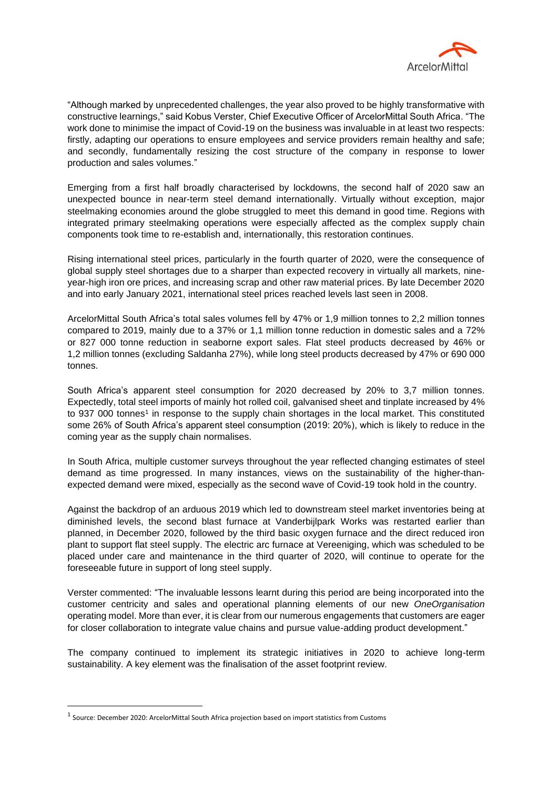

"Although marked by unprecedented challenges, the year also proved to be highly transformative with constructive learnings," said Kobus Verster, Chief Executive Officer of ArcelorMittal South Africa. "The work done to minimise the impact of Covid-19 on the business was invaluable in at least two respects: firstly, adapting our operations to ensure employees and service providers remain healthy and safe; and secondly, fundamentally resizing the cost structure of the company in response to lower production and sales volumes."

Emerging from a first half broadly characterised by lockdowns, the second half of 2020 saw an unexpected bounce in near-term steel demand internationally. Virtually without exception, major steelmaking economies around the globe struggled to meet this demand in good time. Regions with integrated primary steelmaking operations were especially affected as the complex supply chain components took time to re-establish and, internationally, this restoration continues.

Rising international steel prices, particularly in the fourth quarter of 2020, were the consequence of global supply steel shortages due to a sharper than expected recovery in virtually all markets, nineyear-high iron ore prices, and increasing scrap and other raw material prices. By late December 2020 and into early January 2021, international steel prices reached levels last seen in 2008.

ArcelorMittal South Africa's total sales volumes fell by 47% or 1,9 million tonnes to 2,2 million tonnes compared to 2019, mainly due to a 37% or 1,1 million tonne reduction in domestic sales and a 72% or 827 000 tonne reduction in seaborne export sales. Flat steel products decreased by 46% or 1,2 million tonnes (excluding Saldanha 27%), while long steel products decreased by 47% or 690 000 tonnes.

South Africa's apparent steel consumption for 2020 decreased by 20% to 3,7 million tonnes. Expectedly, total steel imports of mainly hot rolled coil, galvanised sheet and tinplate increased by 4% to 937 000 tonnes<sup>1</sup> in response to the supply chain shortages in the local market. This constituted some 26% of South Africa's apparent steel consumption (2019: 20%), which is likely to reduce in the coming year as the supply chain normalises.

In South Africa, multiple customer surveys throughout the year reflected changing estimates of steel demand as time progressed. In many instances, views on the sustainability of the higher-thanexpected demand were mixed, especially as the second wave of Covid-19 took hold in the country.

Against the backdrop of an arduous 2019 which led to downstream steel market inventories being at diminished levels, the second blast furnace at Vanderbijlpark Works was restarted earlier than planned, in December 2020, followed by the third basic oxygen furnace and the direct reduced iron plant to support flat steel supply. The electric arc furnace at Vereeniging, which was scheduled to be placed under care and maintenance in the third quarter of 2020, will continue to operate for the foreseeable future in support of long steel supply.

Verster commented: "The invaluable lessons learnt during this period are being incorporated into the customer centricity and sales and operational planning elements of our new *OneOrganisation*  operating model. More than ever, it is clear from our numerous engagements that customers are eager for closer collaboration to integrate value chains and pursue value-adding product development."

The company continued to implement its strategic initiatives in 2020 to achieve long-term sustainability. A key element was the finalisation of the asset footprint review.

 $<sup>1</sup>$  Source: December 2020: ArcelorMittal South Africa projection based on import statistics from Customs</sup>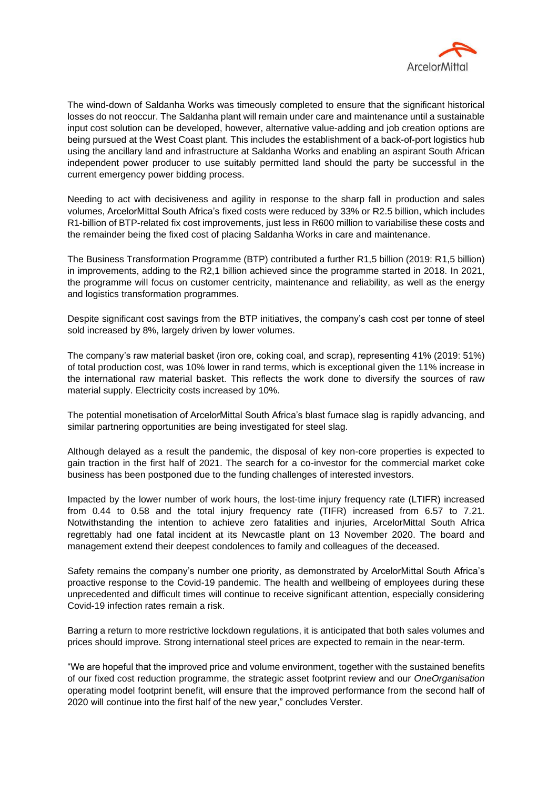

The wind-down of Saldanha Works was timeously completed to ensure that the significant historical losses do not reoccur. The Saldanha plant will remain under care and maintenance until a sustainable input cost solution can be developed, however, alternative value-adding and job creation options are being pursued at the West Coast plant. This includes the establishment of a back-of-port logistics hub using the ancillary land and infrastructure at Saldanha Works and enabling an aspirant South African independent power producer to use suitably permitted land should the party be successful in the current emergency power bidding process.

Needing to act with decisiveness and agility in response to the sharp fall in production and sales volumes, ArcelorMittal South Africa's fixed costs were reduced by 33% or R2.5 billion, which includes R1-billion of BTP-related fix cost improvements, just less in R600 million to variabilise these costs and the remainder being the fixed cost of placing Saldanha Works in care and maintenance.

The Business Transformation Programme (BTP) contributed a further R1,5 billion (2019: R1,5 billion) in improvements, adding to the R2,1 billion achieved since the programme started in 2018. In 2021, the programme will focus on customer centricity, maintenance and reliability, as well as the energy and logistics transformation programmes.

Despite significant cost savings from the BTP initiatives, the company's cash cost per tonne of steel sold increased by 8%, largely driven by lower volumes.

The company's raw material basket (iron ore, coking coal, and scrap), representing 41% (2019: 51%) of total production cost, was 10% lower in rand terms, which is exceptional given the 11% increase in the international raw material basket. This reflects the work done to diversify the sources of raw material supply. Electricity costs increased by 10%.

The potential monetisation of ArcelorMittal South Africa's blast furnace slag is rapidly advancing, and similar partnering opportunities are being investigated for steel slag.

Although delayed as a result the pandemic, the disposal of key non-core properties is expected to gain traction in the first half of 2021. The search for a co-investor for the commercial market coke business has been postponed due to the funding challenges of interested investors.

Impacted by the lower number of work hours, the lost-time injury frequency rate (LTIFR) increased from 0.44 to 0.58 and the total injury frequency rate (TIFR) increased from 6.57 to 7.21. Notwithstanding the intention to achieve zero fatalities and injuries, ArcelorMittal South Africa regrettably had one fatal incident at its Newcastle plant on 13 November 2020. The board and management extend their deepest condolences to family and colleagues of the deceased.

Safety remains the company's number one priority, as demonstrated by ArcelorMittal South Africa's proactive response to the Covid-19 pandemic. The health and wellbeing of employees during these unprecedented and difficult times will continue to receive significant attention, especially considering Covid-19 infection rates remain a risk.

Barring a return to more restrictive lockdown regulations, it is anticipated that both sales volumes and prices should improve. Strong international steel prices are expected to remain in the near-term.

"We are hopeful that the improved price and volume environment, together with the sustained benefits of our fixed cost reduction programme, the strategic asset footprint review and our *OneOrganisation* operating model footprint benefit, will ensure that the improved performance from the second half of 2020 will continue into the first half of the new year," concludes Verster.